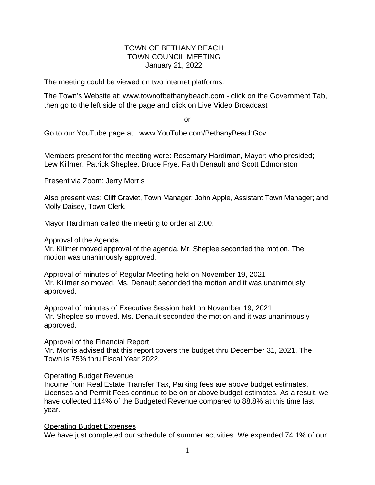# TOWN OF BETHANY BEACH TOWN COUNCIL MEETING January 21, 2022

The meeting could be viewed on two internet platforms:

The Town's Website at: [www.townofbethanybeach.com](http://www.townofbethanybeach.com) - click on the Government Tab, then go to the left side of the page and click on Live Video Broadcast

or

Go to our YouTube page at: [www.YouTube.com/BethanyBeachGov](http://www.YouTube.com/BethanyBeachGov)

Members present for the meeting were: Rosemary Hardiman, Mayor; who presided; Lew Killmer, Patrick Sheplee, Bruce Frye, Faith Denault and Scott Edmonston

Present via Zoom: Jerry Morris

Also present was: Cliff Graviet, Town Manager; John Apple, Assistant Town Manager; and Molly Daisey, Town Clerk.

Mayor Hardiman called the meeting to order at 2:00.

Approval of the Agenda

Mr. Killmer moved approval of the agenda. Mr. Sheplee seconded the motion. The motion was unanimously approved.

Approval of minutes of Regular Meeting held on November 19, 2021 Mr. Killmer so moved. Ms. Denault seconded the motion and it was unanimously approved.

Approval of minutes of Executive Session held on November 19, 2021 Mr. Sheplee so moved. Ms. Denault seconded the motion and it was unanimously approved.

Approval of the Financial Report Mr. Morris advised that this report covers the budget thru December 31, 2021. The Town is 75% thru Fiscal Year 2022.

### Operating Budget Revenue

Income from Real Estate Transfer Tax, Parking fees are above budget estimates, Licenses and Permit Fees continue to be on or above budget estimates. As a result, we have collected 114% of the Budgeted Revenue compared to 88.8% at this time last year.

### Operating Budget Expenses

We have just completed our schedule of summer activities. We expended 74.1% of our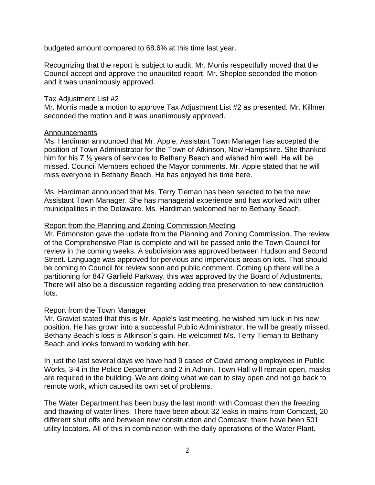budgeted amount compared to 68.6% at this time last year.

Recognizing that the report is subject to audit, Mr. Morris respectfully moved that the Council accept and approve the unaudited report. Mr. Sheplee seconded the motion and it was unanimously approved.

# Tax Adjustment List #2

Mr. Morris made a motion to approve Tax Adjustment List #2 as presented. Mr. Killmer seconded the motion and it was unanimously approved.

# Announcements

Ms. Hardiman announced that Mr. Apple, Assistant Town Manager has accepted the position of Town Administrator for the Town of Atkinson, New Hampshire. She thanked him for his 7 ½ years of services to Bethany Beach and wished him well. He will be missed. Council Members echoed the Mayor comments. Mr. Apple stated that he will miss everyone in Bethany Beach. He has enjoyed his time here.

Ms. Hardiman announced that Ms. Terry Tieman has been selected to be the new Assistant Town Manager. She has managerial experience and has worked with other municipalities in the Delaware. Ms. Hardiman welcomed her to Bethany Beach.

# Report from the Planning and Zoning Commission Meeting

Mr. Edmonston gave the update from the Planning and Zoning Commission. The review of the Comprehensive Plan is complete and will be passed onto the Town Council for review in the coming weeks. A subdivision was approved between Hudson and Second Street. Language was approved for pervious and impervious areas on lots. That should be coming to Council for review soon and public comment. Coming up there will be a partitioning for 847 Garfield Parkway, this was approved by the Board of Adjustments. There will also be a discussion regarding adding tree preservation to new construction lots.

### Report from the Town Manager

Mr. Graviet stated that this is Mr. Apple's last meeting, he wished him luck in his new position. He has grown into a successful Public Administrator. He will be greatly missed. Bethany Beach's loss is Atkinson's gain. He welcomed Ms. Terry Tieman to Bethany Beach and looks forward to working with her.

In just the last several days we have had 9 cases of Covid among employees in Public Works, 3-4 in the Police Department and 2 in Admin. Town Hall will remain open, masks are required in the building. We are doing what we can to stay open and not go back to remote work, which caused its own set of problems.

The Water Department has been busy the last month with Comcast then the freezing and thawing of water lines. There have been about 32 leaks in mains from Comcast, 20 different shut offs and between new construction and Comcast, there have been 501 utility locators. All of this in combination with the daily operations of the Water Plant.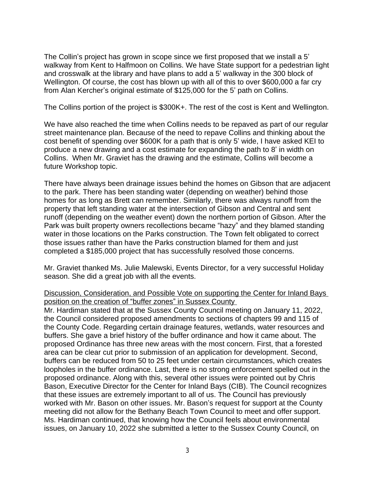The Collin's project has grown in scope since we first proposed that we install a 5' walkway from Kent to Halfmoon on Collins. We have State support for a pedestrian light and crosswalk at the library and have plans to add a 5' walkway in the 300 block of Wellington. Of course, the cost has blown up with all of this to over \$600,000 a far cry from Alan Kercher's original estimate of \$125,000 for the 5' path on Collins.

The Collins portion of the project is \$300K+. The rest of the cost is Kent and Wellington.

We have also reached the time when Collins needs to be repaved as part of our regular street maintenance plan. Because of the need to repave Collins and thinking about the cost benefit of spending over \$600K for a path that is only 5' wide, I have asked KEI to produce a new drawing and a cost estimate for expanding the path to 8' in width on Collins. When Mr. Graviet has the drawing and the estimate, Collins will become a future Workshop topic.

There have always been drainage issues behind the homes on Gibson that are adjacent to the park. There has been standing water (depending on weather) behind those homes for as long as Brett can remember. Similarly, there was always runoff from the property that left standing water at the intersection of Gibson and Central and sent runoff (depending on the weather event) down the northern portion of Gibson. After the Park was built property owners recollections became "hazy" and they blamed standing water in those locations on the Parks construction. The Town felt obligated to correct those issues rather than have the Parks construction blamed for them and just completed a \$185,000 project that has successfully resolved those concerns.

Mr. Graviet thanked Ms. Julie Malewski, Events Director, for a very successful Holiday season. She did a great job with all the events.

Discussion, Consideration, and Possible Vote on supporting the Center for Inland Bays position on the creation of "buffer zones" in Sussex County

Mr. Hardiman stated that at the Sussex County Council meeting on January 11, 2022, the Council considered proposed amendments to sections of chapters 99 and 115 of the County Code. Regarding certain drainage features, wetlands, water resources and buffers. She gave a brief history of the buffer ordinance and how it came about. The proposed Ordinance has three new areas with the most concern. First, that a forested area can be clear cut prior to submission of an application for development. Second, buffers can be reduced from 50 to 25 feet under certain circumstances, which creates loopholes in the buffer ordinance. Last, there is no strong enforcement spelled out in the proposed ordinance. Along with this, several other issues were pointed out by Chris Bason, Executive Director for the Center for Inland Bays (CIB). The Council recognizes that these issues are extremely important to all of us. The Council has previously worked with Mr. Bason on other issues. Mr. Bason's request for support at the County meeting did not allow for the Bethany Beach Town Council to meet and offer support. Ms. Hardiman continued, that knowing how the Council feels about environmental issues, on January 10, 2022 she submitted a letter to the Sussex County Council, on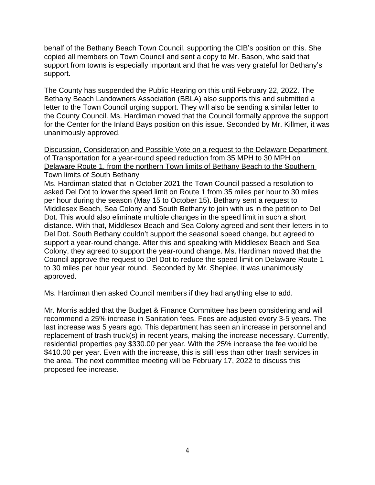behalf of the Bethany Beach Town Council, supporting the CIB's position on this. She copied all members on Town Council and sent a copy to Mr. Bason, who said that support from towns is especially important and that he was very grateful for Bethany's support.

The County has suspended the Public Hearing on this until February 22, 2022. The Bethany Beach Landowners Association (BBLA) also supports this and submitted a letter to the Town Council urging support. They will also be sending a similar letter to the County Council. Ms. Hardiman moved that the Council formally approve the support for the Center for the Inland Bays position on this issue. Seconded by Mr. Killmer, it was unanimously approved.

Discussion, Consideration and Possible Vote on a request to the Delaware Department of Transportation for a year-round speed reduction from 35 MPH to 30 MPH on Delaware Route 1, from the northern Town limits of Bethany Beach to the Southern Town limits of South Bethany

Ms. Hardiman stated that in October 2021 the Town Council passed a resolution to asked Del Dot to lower the speed limit on Route 1 from 35 miles per hour to 30 miles per hour during the season (May 15 to October 15). Bethany sent a request to Middlesex Beach, Sea Colony and South Bethany to join with us in the petition to Del Dot. This would also eliminate multiple changes in the speed limit in such a short distance. With that, Middlesex Beach and Sea Colony agreed and sent their letters in to Del Dot. South Bethany couldn't support the seasonal speed change, but agreed to support a year-round change. After this and speaking with Middlesex Beach and Sea Colony, they agreed to support the year-round change. Ms. Hardiman moved that the Council approve the request to Del Dot to reduce the speed limit on Delaware Route 1 to 30 miles per hour year round. Seconded by Mr. Sheplee, it was unanimously approved.

Ms. Hardiman then asked Council members if they had anything else to add.

Mr. Morris added that the Budget & Finance Committee has been considering and will recommend a 25% increase in Sanitation fees. Fees are adjusted every 3-5 years. The last increase was 5 years ago. This department has seen an increase in personnel and replacement of trash truck(s) in recent years, making the increase necessary. Currently, residential properties pay \$330.00 per year. With the 25% increase the fee would be \$410.00 per year. Even with the increase, this is still less than other trash services in the area. The next committee meeting will be February 17, 2022 to discuss this proposed fee increase.